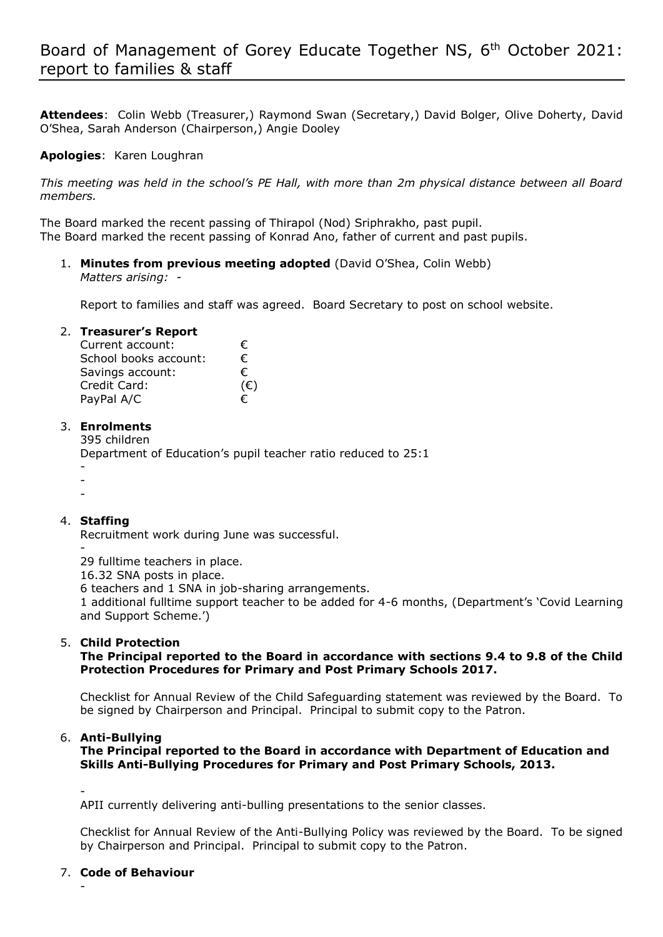**Attendees**: Colin Webb (Treasurer,) Raymond Swan (Secretary,) David Bolger, Olive Doherty, David O'Shea, Sarah Anderson (Chairperson,) Angie Dooley

### **Apologies**: Karen Loughran

*This meeting was held in the school's PE Hall, with more than 2m physical distance between all Board members.*

The Board marked the recent passing of Thirapol (Nod) Sriphrakho, past pupil. The Board marked the recent passing of Konrad Ano, father of current and past pupils.

1. **Minutes from previous meeting adopted** (David O'Shea, Colin Webb) *Matters arising: -*

Report to families and staff was agreed. Board Secretary to post on school website.

#### 2. **Treasurer's Report**

| Current account:      | €.  |
|-----------------------|-----|
| School books account: | €.  |
| Savings account:      | €   |
| Credit Card:          | (€) |
| PayPal A/C            | €   |

### 3. **Enrolments**

395 children

Department of Education's pupil teacher ratio reduced to 25:1

- -
- -

# 4. **Staffing**

Recruitment work during June was successful.

- 29 fulltime teachers in place.

16.32 SNA posts in place.

6 teachers and 1 SNA in job-sharing arrangements.

1 additional fulltime support teacher to be added for 4-6 months, (Department's 'Covid Learning and Support Scheme.')

# 5. **Child Protection**

# **The Principal reported to the Board in accordance with sections 9.4 to 9.8 of the Child Protection Procedures for Primary and Post Primary Schools 2017.**

Checklist for Annual Review of the Child Safeguarding statement was reviewed by the Board. To be signed by Chairperson and Principal. Principal to submit copy to the Patron.

# 6. **Anti-Bullying**

**The Principal reported to the Board in accordance with Department of Education and Skills Anti-Bullying Procedures for Primary and Post Primary Schools, 2013.**

-

APII currently delivering anti-bulling presentations to the senior classes.

Checklist for Annual Review of the Anti-Bullying Policy was reviewed by the Board. To be signed by Chairperson and Principal. Principal to submit copy to the Patron.

# 7. **Code of Behaviour**

-